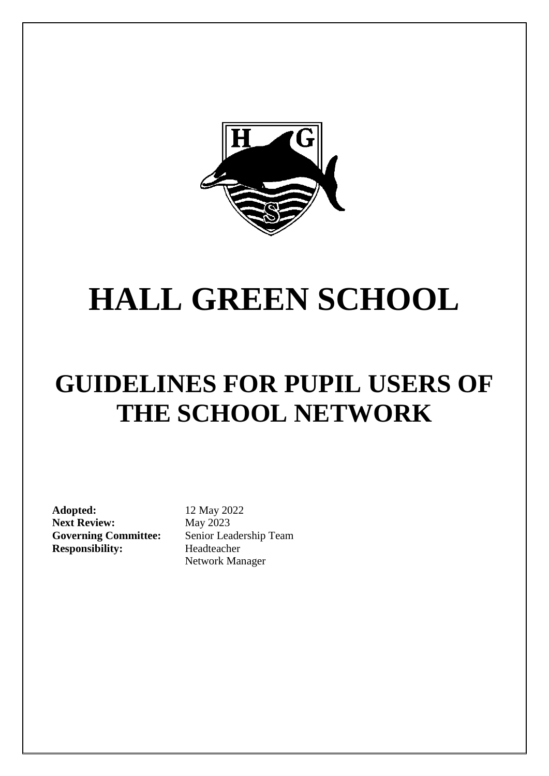

# **HALL GREEN SCHOOL**

# **GUIDELINES FOR PUPIL USERS OF THE SCHOOL NETWORK**

**Adopted:** 12 May 2022 **Next Review:** May 2023 **Governing Committee:** Senior Leadership Team **Responsibility:** Headteacher

Network Manager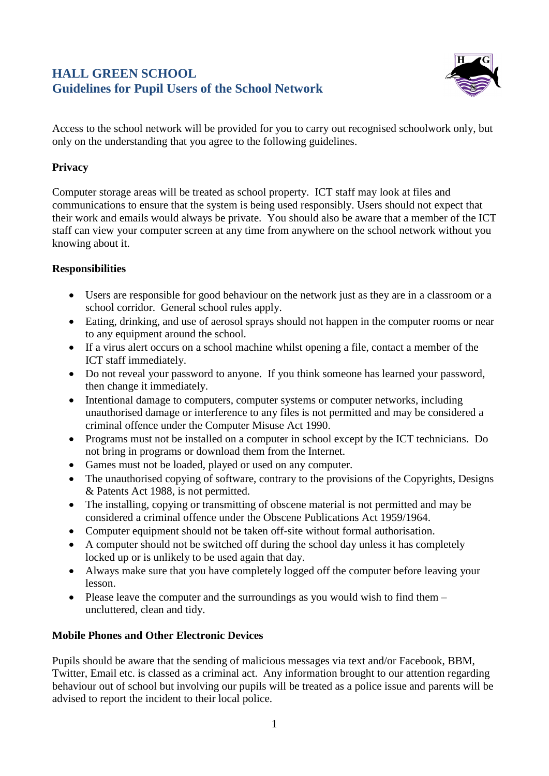# **HALL GREEN SCHOOL Guidelines for Pupil Users of the School Network**



Access to the school network will be provided for you to carry out recognised schoolwork only, but only on the understanding that you agree to the following guidelines.

#### **Privacy**

Computer storage areas will be treated as school property. ICT staff may look at files and communications to ensure that the system is being used responsibly. Users should not expect that their work and emails would always be private. You should also be aware that a member of the ICT staff can view your computer screen at any time from anywhere on the school network without you knowing about it.

### **Responsibilities**

- Users are responsible for good behaviour on the network just as they are in a classroom or a school corridor. General school rules apply.
- Eating, drinking, and use of aerosol sprays should not happen in the computer rooms or near to any equipment around the school.
- If a virus alert occurs on a school machine whilst opening a file, contact a member of the ICT staff immediately.
- Do not reveal your password to anyone. If you think someone has learned your password, then change it immediately.
- Intentional damage to computers, computer systems or computer networks, including unauthorised damage or interference to any files is not permitted and may be considered a criminal offence under the Computer Misuse Act 1990.
- Programs must not be installed on a computer in school except by the ICT technicians. Do not bring in programs or download them from the Internet.
- Games must not be loaded, played or used on any computer.
- The unauthorised copying of software, contrary to the provisions of the Copyrights, Designs & Patents Act 1988, is not permitted.
- The installing, copying or transmitting of obscene material is not permitted and may be considered a criminal offence under the Obscene Publications Act 1959/1964.
- Computer equipment should not be taken off-site without formal authorisation.
- A computer should not be switched off during the school day unless it has completely locked up or is unlikely to be used again that day.
- Always make sure that you have completely logged off the computer before leaving your lesson.
- Please leave the computer and the surroundings as you would wish to find them  $$ uncluttered, clean and tidy.

# **Mobile Phones and Other Electronic Devices**

Pupils should be aware that the sending of malicious messages via text and/or Facebook, BBM, Twitter, Email etc. is classed as a criminal act. Any information brought to our attention regarding behaviour out of school but involving our pupils will be treated as a police issue and parents will be advised to report the incident to their local police.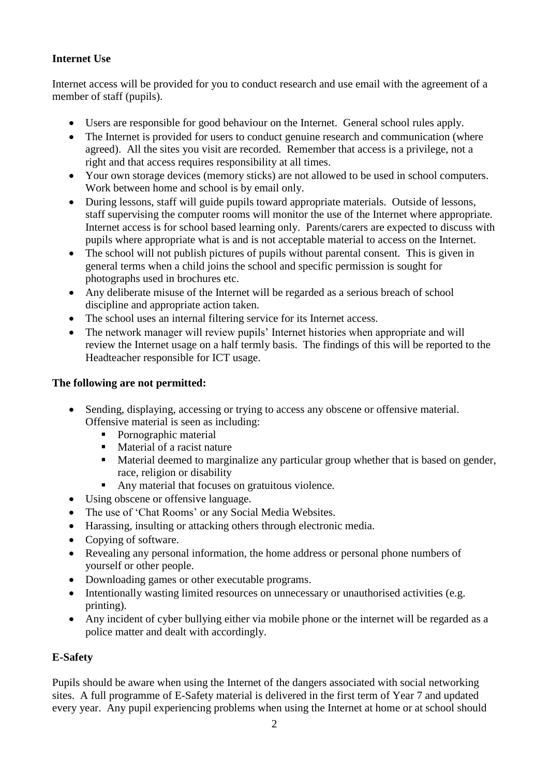# **Internet Use**

Internet access will be provided for you to conduct research and use email with the agreement of a member of staff (pupils).

- Users are responsible for good behaviour on the Internet. General school rules apply.
- The Internet is provided for users to conduct genuine research and communication (where agreed). All the sites you visit are recorded. Remember that access is a privilege, not a right and that access requires responsibility at all times.
- Your own storage devices (memory sticks) are not allowed to be used in school computers. Work between home and school is by email only.
- During lessons, staff will guide pupils toward appropriate materials. Outside of lessons, staff supervising the computer rooms will monitor the use of the Internet where appropriate. Internet access is for school based learning only. Parents/carers are expected to discuss with pupils where appropriate what is and is not acceptable material to access on the Internet.
- The school will not publish pictures of pupils without parental consent. This is given in general terms when a child joins the school and specific permission is sought for photographs used in brochures etc.
- Any deliberate misuse of the Internet will be regarded as a serious breach of school discipline and appropriate action taken.
- The school uses an internal filtering service for its Internet access.
- The network manager will review pupils' Internet histories when appropriate and will review the Internet usage on a half termly basis. The findings of this will be reported to the Headteacher responsible for ICT usage.

### **The following are not permitted:**

- Sending, displaying, accessing or trying to access any obscene or offensive material. Offensive material is seen as including:
	- Pornographic material
	- Material of a racist nature
	- Material deemed to marginalize any particular group whether that is based on gender, race, religion or disability
	- Any material that focuses on gratuitous violence.
- Using obscene or offensive language.
- The use of 'Chat Rooms' or any Social Media Websites.
- Harassing, insulting or attacking others through electronic media.
- Copying of software.
- Revealing any personal information, the home address or personal phone numbers of yourself or other people.
- Downloading games or other executable programs.
- Intentionally wasting limited resources on unnecessary or unauthorised activities (e.g. printing).
- Any incident of cyber bullying either via mobile phone or the internet will be regarded as a police matter and dealt with accordingly.

# **E-Safety**

Pupils should be aware when using the Internet of the dangers associated with social networking sites. A full programme of E-Safety material is delivered in the first term of Year 7 and updated every year. Any pupil experiencing problems when using the Internet at home or at school should